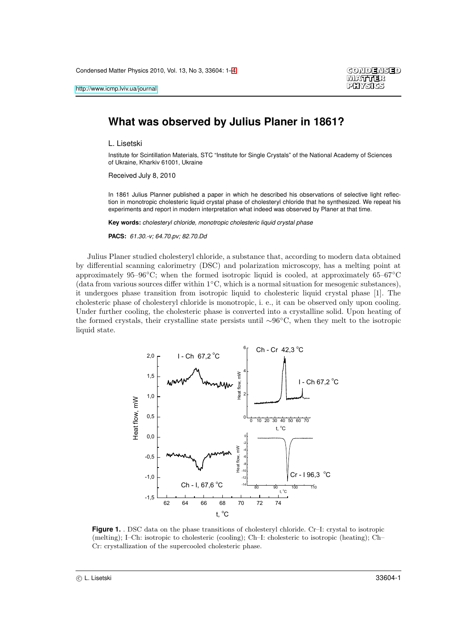## **What was observed by Julius Planer in 1861?**

L. Lisetski

Institute for Scintillation Materials, STC "Institute for Single Crystals" of the National Academy of Sciences of Ukraine, Kharkiv 61001, Ukraine

Received July 8, 2010

In 1861 Julius Planner published a paper in which he described his observations of selective light reflection in monotropic cholesteric liquid crystal phase of cholesteryl chloride that he synthesized. We repeat his experiments and report in modern interpretation what indeed was observed by Planer at that time.

**Key words:** cholesteryl chloride, monotropic cholesteric liquid crystal phase

**PACS:** 61.30.-v; 64.70.pv; 82.70.Dd

Julius Planer studied cholesteryl chloride, a substance that, according to modern data obtained by differential scanning calorimetry (DSC) and polarization microscopy, has a melting point at approximately 95–96◦C; when the formed isotropic liquid is cooled, at approximately 65–67◦C (data from various sources differ within 1 ◦C, which is a normal situation for mesogenic substances), it undergoes phase transition from isotropic liquid to cholesteric liquid crystal phase [1]. The cholesteric phase of cholesteryl chloride is monotropic, i. e., it can be observed only upon cooling. Under further cooling, the cholesteric phase is converted into a crystalline solid. Upon heating of the formed crystals, their crystalline state persists until ∼96◦C, when they melt to the isotropic liquid state.



<span id="page-0-0"></span>**Figure 1.** . DSC data on the phase transitions of cholesteryl chloride. Cr–I: crystal to isotropic (melting); I–Ch: isotropic to cholesteric (cooling); Ch–I: cholesteric to isotropic (heating); Ch– Cr: crystallization of the supercooled cholesteric phase.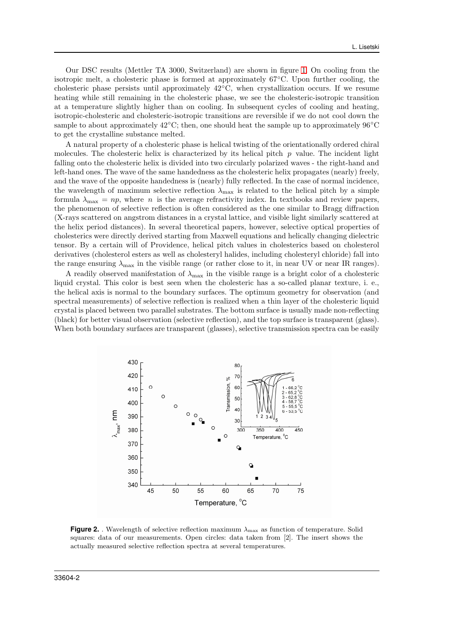Our DSC results (Mettler TA 3000, Switzerland) are shown in figure [1.](#page-0-0) On cooling from the isotropic melt, a cholesteric phase is formed at approximately 67◦C. Upon further cooling, the cholesteric phase persists until approximately 42◦C, when crystallization occurs. If we resume heating while still remaining in the cholesteric phase, we see the cholesteric-isotropic transition at a temperature slightly higher than on cooling. In subsequent cycles of cooling and heating, isotropic-cholesteric and cholesteric-isotropic transitions are reversible if we do not cool down the sample to about approximately  $42°C$ ; then, one should heat the sample up to approximately  $96°C$ to get the crystalline substance melted.

A natural property of a cholesteric phase is helical twisting of the orientationally ordered chiral molecules. The cholesteric helix is characterized by its helical pitch  $p$  value. The incident light falling onto the cholesteric helix is divided into two circularly polarized waves - the right-hand and left-hand ones. The wave of the same handedness as the cholesteric helix propagates (nearly) freely, and the wave of the opposite handedness is (nearly) fully reflected. In the case of normal incidence, the wavelength of maximum selective reflection  $\lambda_{\text{max}}$  is related to the helical pitch by a simple formula  $\lambda_{\text{max}} = np$ , where n is the average refractivity index. In textbooks and review papers, the phenomenon of selective reflection is often considered as the one similar to Bragg diffraction (X-rays scattered on angstrom distances in a crystal lattice, and visible light similarly scattered at the helix period distances). In several theoretical papers, however, selective optical properties of cholesterics were directly derived starting from Maxwell equations and helically changing dielectric tensor. By a certain will of Providence, helical pitch values in cholesterics based on cholesterol derivatives (cholesterol esters as well as cholesteryl halides, including cholesteryl chloride) fall into the range ensuring  $\lambda_{\text{max}}$  in the visible range (or rather close to it, in near UV or near IR ranges).

A readily observed manifestation of  $\lambda_{\text{max}}$  in the visible range is a bright color of a cholesteric liquid crystal. This color is best seen when the cholesteric has a so-called planar texture, i. e., the helical axis is normal to the boundary surfaces. The optimum geometry for observation (and spectral measurements) of selective reflection is realized when a thin layer of the cholesteric liquid crystal is placed between two parallel substrates. The bottom surface is usually made non-reflecting (black) for better visual observation (selective reflection), and the top surface is transparent (glass). When both boundary surfaces are transparent (glasses), selective transmission spectra can be easily



<span id="page-1-0"></span>**Figure 2.** . Wavelength of selective reflection maximum λmax as function of temperature. Solid squares: data of our measurements. Open circles: data taken from [2]. The insert shows the actually measured selective reflection spectra at several temperatures.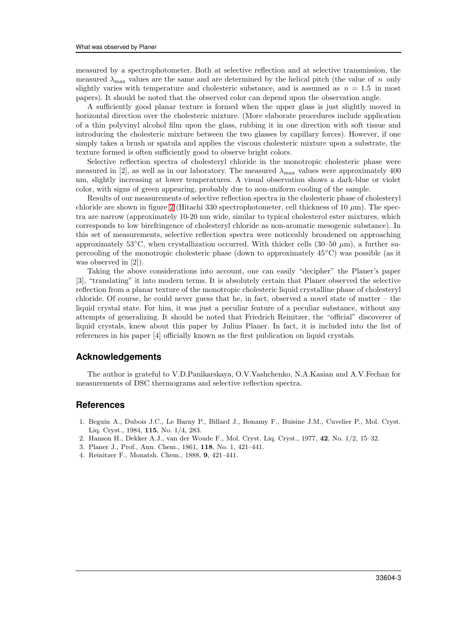measured by a spectrophotometer. Both at selective reflection and at selective transmission, the measured  $\lambda_{\text{max}}$  values are the same and are determined by the helical pitch (the value of n only slightly varies with temperature and cholesteric substance, and is assumed as  $n = 1.5$  in most papers). It should be noted that the observed color can depend upon the observation angle.

A sufficiently good planar texture is formed when the upper glass is just slightly moved in horizontal direction over the cholesteric mixture. (More elaborate procedures include application of a thin polyvinyl alcohol film upon the glass, rubbing it in one direction with soft tissue and introducing the cholesteric mixture between the two glasses by capillary forces). However, if one simply takes a brush or spatula and applies the viscous cholesteric mixture upon a substrate, the texture formed is often sufficiently good to observe bright colors.

Selective reflection spectra of cholesteryl chloride in the monotropic cholesteric phase were measured in [2], as well as in our laboratory. The measured  $\lambda_{\text{max}}$  values were approximately 400 nm, slightly increasing at lower temperatures. A visual observation shows a dark-blue or violet color, with signs of green appearing, probably due to non-uniform cooling of the sample.

Results of our measurements of selective reflection spectra in the cholesteric phase of cholesteryl chloride are shown in figure [2](#page-1-0) (Hitachi 330 spectrophotometer, cell thickness of  $10 \ \mu m$ ). The spectra are narrow (approximately 10-20 nm wide, similar to typical cholesterol ester mixtures, which corresponds to low birefringence of cholesteryl chloride as non-aromatic mesogenic substance). In this set of measurements, selective reflection spectra were noticeably broadened on approaching approximately 53<sup>°</sup>C, when crystallization occurred. With thicker cells (30–50  $\mu$ m), a further supercooling of the monotropic cholesteric phase (down to approximately 45◦C) was possible (as it was observed in [2]).

Taking the above considerations into account, one can easily "decipher" the Planer's paper [3], "translating" it into modern terms. It is absolutely certain that Planer observed the selective reflection from a planar texture of the monotropic cholesteric liquid crystalline phase of cholesteryl chloride. Of course, he could never guess that he, in fact, observed a novel state of matter – the liquid crystal state. For him, it was just a peculiar feature of a peculiar substance, without any attempts of generalizing. It should be noted that Friedrich Reinitzer, the "official" discoverer of liquid crystals, knew about this paper by Julius Planer. In fact, it is included into the list of references in his paper [4] officially known as the first publication on liquid crystals.

### **Acknowledgements**

The author is grateful to V.D.Panikarskaya, O.V.Vashchenko, N.A.Kasian and A.V.Fechan for measurements of DSC thermograms and selective reflection spectra.

#### <span id="page-2-0"></span>**References**

- 1. Beguin A., Dubois J.C., Le Barny P., Billard J., Bonamy F., Buisine J.M., Cuvelier P., Mol. Cryst. Liq. Cryst., 1984, 115, No. 1/4, 283.
- 2. Hanson H., Dekker A.J., van der Woude F., Mol. Cryst. Liq. Cryst., 1977, 42, No. 1/2, 15–32.
- 3. Planer J., Prof., Ann. Chem., 1861, 118, No. 1, 421–441.
- 4. Reinitzer F., Monatsh. Chem., 1888, 9, 421–441.